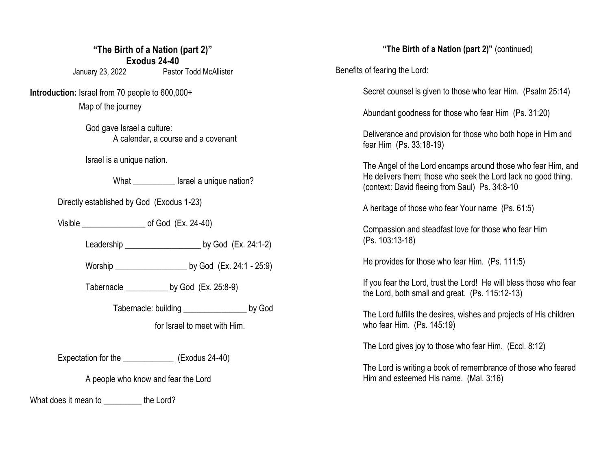## **"The Birth of a Nation (part 2)" Exodus 24-40**

January 23, 2022 Pastor Todd McAllister

**Introduction:** Israel from 70 people to 600,000+

Map of the journey

God gave Israel a culture: A calendar, a course and a covenant

Israel is a unique nation.

What **What** Israel a unique nation?

Directly established by God (Exodus 1-23)

Visible  $\qquad \qquad$  of God (Ex. 24-40)

Leadership \_\_\_\_\_\_\_\_\_\_\_\_\_\_\_\_\_\_ by God (Ex. 24:1-2)

Worship \_\_\_\_\_\_\_\_\_\_\_\_\_\_\_\_\_ by God (Ex. 24:1 - 25:9)

Tabernacle by God (Ex. 25:8-9)

Tabernacle: building \_\_\_\_\_\_\_\_\_\_\_\_\_\_\_\_\_ by God

for Israel to meet with Him.

Expectation for the \_\_\_\_\_\_\_\_\_\_\_\_ (Exodus 24-40)

A people who know and fear the Lord

What does it mean to \_\_\_\_\_\_\_\_\_ the Lord?

**"The Birth of a Nation (part 2)"** (continued)

Benefits of fearing the Lord:

Secret counsel is given to those who fear Him. (Psalm 25:14)

Abundant goodness for those who fear Him (Ps. 31:20)

Deliverance and provision for those who both hope in Him and fear Him (Ps. 33:18-19)

The Angel of the Lord encamps around those who fear Him, and He delivers them; those who seek the Lord lack no good thing. (context: David fleeing from Saul) Ps. 34:8-10

A heritage of those who fear Your name (Ps. 61:5)

Compassion and steadfast love for those who fear Him (Ps. 103:13-18)

He provides for those who fear Him. (Ps. 111:5)

If you fear the Lord, trust the Lord! He will bless those who fear the Lord, both small and great. (Ps. 115:12-13)

The Lord fulfills the desires, wishes and projects of His children who fear Him. (Ps. 145:19)

The Lord gives joy to those who fear Him. (Eccl. 8:12)

The Lord is writing a book of remembrance of those who feared Him and esteemed His name. (Mal. 3:16)